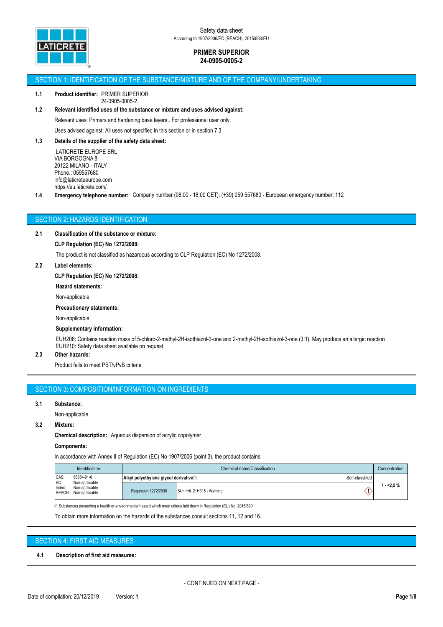

#### SECTION 1: IDENTIFICATION OF THE SUBSTANCE/MIXTURE AND OF THE COMPANY/UNDERTAKING

#### **1.1 Product identifier:** PRIMER SUPERIOR 24-0905-0005-2

# **1.2 Relevant identified uses of the substance or mixture and uses advised against:**

Relevant uses: Primers and hardening base layers.. For professional user only.

Uses advised against: All uses not specified in this section or in section 7.3

# **1.3 Details of the supplier of the safety data sheet:**

 LATICRETE EUROPE SRL VIA BORGOGNA 8 20122 MILANO - ITALY Phone.: 059557680 info@laticreteeurope.com https://eu.laticrete.com/

**1.4 Emergency telephone number:** Company number (08:00 - 18:00 CET): (+39) 059 557680 - European emergency number: 112

# SECTION 2: HAZARDS IDENTIFICATION

#### **2.1 Classification of the substance or mixture:**

### **CLP Regulation (EC) No 1272/2008:**

The product is not classified as hazardous according to CLP Regulation (EC) No 1272/2008.

### **2.2 Label elements:**

#### **CLP Regulation (EC) No 1272/2008:**

**Hazard statements:**

Non-applicable

#### **Precautionary statements:**

Non-applicable

# **Supplementary information:**

EUH208: Contains reaction mass of 5-chloro-2-methyl-2H-isothiazol-3-one and 2-methyl-2H-isothiazol-3-one (3:1). May produce an allergic reaction EUH210: Safety data sheet available on request

# **2.3 Other hazards:**

Product fails to meet PBT/vPvB criteria

# SECTION 3: COMPOSITION/INFORMATION ON INGREDIENTS

#### **3.1 Substance:**

Non-applicable

## **3.2 Mixture:**

**Chemical description:** Aqueous dispersion of acrylic copolymer

#### **Components:**

In accordance with Annex II of Regulation (EC) No 1907/2006 (point 3), the product contains:

|                       | <b>Identification</b>                                                   | Chemical name/Classification                                          |                               |            |
|-----------------------|-------------------------------------------------------------------------|-----------------------------------------------------------------------|-------------------------------|------------|
| CAS:<br>EC:<br>Index: | 68954-91-6<br>Non-applicable<br>Non-applicable<br>REACH: Non-applicable | Self-classified<br>Alkyl polyethylene glycol derivative <sup>11</sup> |                               |            |
|                       |                                                                         | Regulation 1272/2008                                                  | Skin Irrit. 2: H315 - Warning | 1 - <2.5 % |

⁽¹⁽ Substances presenting a health or environmental hazard which meet criteria laid down in Regulation (EU) No. 2015/830

To obtain more information on the hazards of the substances consult sections 11, 12 and 16.

#### SECTION 4: FIRST AID MEASURES

**4.1 Description of first aid measures:**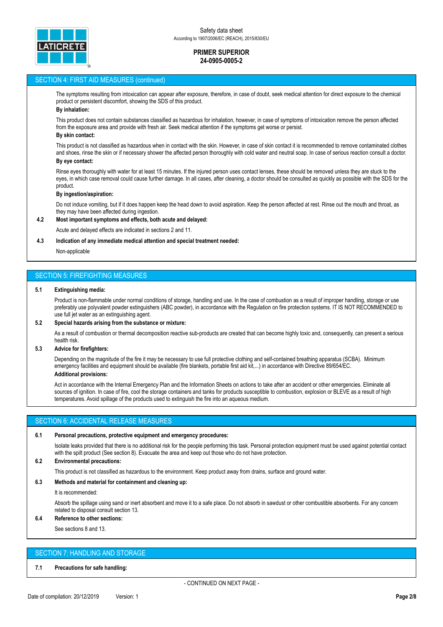

## SECTION 4: FIRST AID MEASURES (continued)

The symptoms resulting from intoxication can appear after exposure, therefore, in case of doubt, seek medical attention for direct exposure to the chemical product or persistent discomfort, showing the SDS of this product.

# **By inhalation:**

This product does not contain substances classified as hazardous for inhalation, however, in case of symptoms of intoxication remove the person affected from the exposure area and provide with fresh air. Seek medical attention if the symptoms get worse or persist.

### **By skin contact:**

This product is not classified as hazardous when in contact with the skin. However, in case of skin contact it is recommended to remove contaminated clothes and shoes, rinse the skin or if necessary shower the affected person thoroughly with cold water and neutral soap. In case of serious reaction consult a doctor. **By eye contact:**

Rinse eyes thoroughly with water for at least 15 minutes. If the injured person uses contact lenses, these should be removed unless they are stuck to the eyes, in which case removal could cause further damage. In all cases, after cleaning, a doctor should be consulted as quickly as possible with the SDS for the product.

#### **By ingestion/aspiration:**

Do not induce vomiting, but if it does happen keep the head down to avoid aspiration. Keep the person affected at rest. Rinse out the mouth and throat, as they may have been affected during ingestion.

#### **4.2 Most important symptoms and effects, both acute and delayed:**

Acute and delayed effects are indicated in sections 2 and 11.

#### **4.3 Indication of any immediate medical attention and special treatment needed:**

Non-applicable

# SECTION 5: FIREFIGHTING MEASURES

#### **5.1 Extinguishing media:**

Product is non-flammable under normal conditions of storage, handling and use. In the case of combustion as a result of improper handling, storage or use preferably use polyvalent powder extinguishers (ABC powder), in accordance with the Regulation on fire protection systems. IT IS NOT RECOMMENDED to use full jet water as an extinguishing agent.

### **5.2 Special hazards arising from the substance or mixture:**

As a result of combustion or thermal decomposition reactive sub-products are created that can become highly toxic and, consequently, can present a serious health risk.

# **5.3 Advice for firefighters:**

Depending on the magnitude of the fire it may be necessary to use full protective clothing and self-contained breathing apparatus (SCBA). Minimum emergency facilities and equipment should be available (fire blankets, portable first aid kit,...) in accordance with Directive 89/654/EC. **Additional provisions:**

Act in accordance with the Internal Emergency Plan and the Information Sheets on actions to take after an accident or other emergencies. Eliminate all sources of ignition. In case of fire, cool the storage containers and tanks for products susceptible to combustion, explosion or BLEVE as a result of high temperatures. Avoid spillage of the products used to extinguish the fire into an aqueous medium.

# SECTION 6: ACCIDENTAL RELEASE MEASURES

#### **6.1 Personal precautions, protective equipment and emergency procedures:**

Isolate leaks provided that there is no additional risk for the people performing this task. Personal protection equipment must be used against potential contact with the spilt product (See section 8). Evacuate the area and keep out those who do not have protection.

#### **6.2 Environmental precautions:**

This product is not classified as hazardous to the environment. Keep product away from drains, surface and ground water.

#### **6.3 Methods and material for containment and cleaning up:**

It is recommended:

Absorb the spillage using sand or inert absorbent and move it to a safe place. Do not absorb in sawdust or other combustible absorbents. For any concern related to disposal consult section 13.

#### **6.4 Reference to other sections:**

See sections 8 and 13.

# SECTION 7: HANDLING AND STORAGE

# **7.1 Precautions for safe handling:**

- CONTINUED ON NEXT PAGE -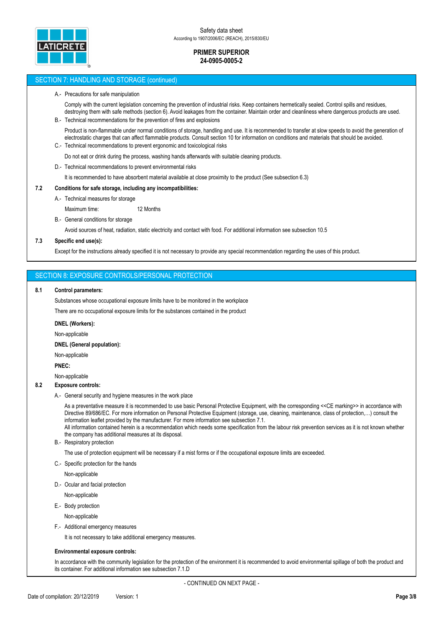

### SECTION 7: HANDLING AND STORAGE (continued)

#### A.- Precautions for safe manipulation

Comply with the current legislation concerning the prevention of industrial risks. Keep containers hermetically sealed. Control spills and residues, destroying them with safe methods (section 6). Avoid leakages from the container. Maintain order and cleanliness where dangerous products are used. B.- Technical recommendations for the prevention of fires and explosions

# Product is non-flammable under normal conditions of storage, handling and use. It is recommended to transfer at slow speeds to avoid the generation of electrostatic charges that can affect flammable products. Consult section 10 for information on conditions and materials that should be avoided.

C.- Technical recommendations to prevent ergonomic and toxicological risks

Do not eat or drink during the process, washing hands afterwards with suitable cleaning products.

D.- Technical recommendations to prevent environmental risks

It is recommended to have absorbent material available at close proximity to the product (See subsection 6.3)

#### **7.2 Conditions for safe storage, including any incompatibilities:**

A.- Technical measures for storage

Maximum time: 12 Months

B.- General conditions for storage

Avoid sources of heat, radiation, static electricity and contact with food. For additional information see subsection 10.5

# **7.3 Specific end use(s):**

Except for the instructions already specified it is not necessary to provide any special recommendation regarding the uses of this product.

## SECTION 8: EXPOSURE CONTROLS/PERSONAL PROTECTION

### **8.1 Control parameters:**

Substances whose occupational exposure limits have to be monitored in the workplace

There are no occupational exposure limits for the substances contained in the product

#### **DNEL (Workers):**

Non-applicable

#### **DNEL (General population):**

Non-applicable

**PNEC:**

Non-applicable

# **8.2 Exposure controls:**

A.- General security and hygiene measures in the work place

As a preventative measure it is recommended to use basic Personal Protective Equipment, with the corresponding <<CE marking>> in accordance with Directive 89/686/EC. For more information on Personal Protective Equipment (storage, use, cleaning, maintenance, class of protection,…) consult the information leaflet provided by the manufacturer. For more information see subsection 7.1.

All information contained herein is a recommendation which needs some specification from the labour risk prevention services as it is not known whether the company has additional measures at its disposal.

B.- Respiratory protection

The use of protection equipment will be necessary if a mist forms or if the occupational exposure limits are exceeded.

C.- Specific protection for the hands

Non-applicable

D.- Ocular and facial protection

Non-applicable

E.- Body protection

Non-applicable

F.- Additional emergency measures

It is not necessary to take additional emergency measures.

# **Environmental exposure controls:**

In accordance with the community legislation for the protection of the environment it is recommended to avoid environmental spillage of both the product and its container. For additional information see subsection 7.1.D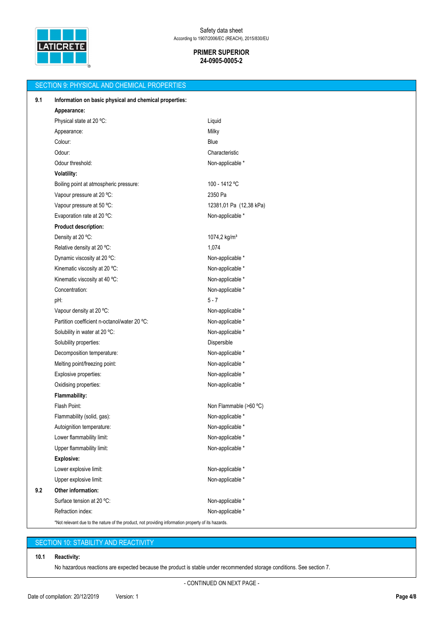

| <b>SECTION 9: PHYSICAL AND CHEMICAL PROPERTIES</b> |                                                                                                    |                          |  |  |  |  |
|----------------------------------------------------|----------------------------------------------------------------------------------------------------|--------------------------|--|--|--|--|
| 9.1                                                | Information on basic physical and chemical properties:                                             |                          |  |  |  |  |
|                                                    | Appearance:                                                                                        |                          |  |  |  |  |
|                                                    | Physical state at 20 °C:                                                                           | Liquid                   |  |  |  |  |
|                                                    | Appearance:                                                                                        | Milky                    |  |  |  |  |
|                                                    | Colour:                                                                                            | Blue                     |  |  |  |  |
|                                                    | Odour:                                                                                             | Characteristic           |  |  |  |  |
|                                                    | Odour threshold:                                                                                   | Non-applicable *         |  |  |  |  |
|                                                    | Volatility:                                                                                        |                          |  |  |  |  |
|                                                    | Boiling point at atmospheric pressure:                                                             | 100 - 1412 °C            |  |  |  |  |
|                                                    | Vapour pressure at 20 °C:                                                                          | 2350 Pa                  |  |  |  |  |
|                                                    | Vapour pressure at 50 °C:                                                                          | 12381,01 Pa (12,38 kPa)  |  |  |  |  |
|                                                    | Evaporation rate at 20 °C:                                                                         | Non-applicable *         |  |  |  |  |
|                                                    | Product description:                                                                               |                          |  |  |  |  |
|                                                    | Density at 20 °C:                                                                                  | 1074,2 kg/m <sup>3</sup> |  |  |  |  |
|                                                    | Relative density at 20 °C:                                                                         | 1,074                    |  |  |  |  |
|                                                    | Dynamic viscosity at 20 °C:                                                                        | Non-applicable *         |  |  |  |  |
|                                                    | Kinematic viscosity at 20 °C:                                                                      | Non-applicable *         |  |  |  |  |
|                                                    | Kinematic viscosity at 40 °C:                                                                      | Non-applicable *         |  |  |  |  |
|                                                    | Concentration:                                                                                     | Non-applicable *         |  |  |  |  |
|                                                    | pH:                                                                                                | $5 - 7$                  |  |  |  |  |
|                                                    | Vapour density at 20 °C:                                                                           | Non-applicable *         |  |  |  |  |
|                                                    | Partition coefficient n-octanol/water 20 °C:                                                       | Non-applicable *         |  |  |  |  |
|                                                    | Solubility in water at 20 °C:                                                                      | Non-applicable *         |  |  |  |  |
|                                                    | Solubility properties:                                                                             | Dispersible              |  |  |  |  |
|                                                    | Decomposition temperature:                                                                         | Non-applicable *         |  |  |  |  |
|                                                    | Melting point/freezing point:                                                                      | Non-applicable *         |  |  |  |  |
|                                                    | Explosive properties:                                                                              | Non-applicable *         |  |  |  |  |
|                                                    | Oxidising properties:                                                                              | Non-applicable *         |  |  |  |  |
|                                                    | Flammability:                                                                                      |                          |  |  |  |  |
|                                                    | Flash Point:                                                                                       | Non Flammable (>60 °C)   |  |  |  |  |
|                                                    | Flammability (solid, gas):                                                                         | Non-applicable *         |  |  |  |  |
|                                                    | Autoignition temperature:                                                                          | Non-applicable *         |  |  |  |  |
|                                                    | Lower flammability limit:                                                                          | Non-applicable *         |  |  |  |  |
|                                                    | Upper flammability limit:                                                                          | Non-applicable *         |  |  |  |  |
|                                                    | <b>Explosive:</b>                                                                                  |                          |  |  |  |  |
|                                                    | Lower explosive limit:                                                                             | Non-applicable *         |  |  |  |  |
|                                                    | Upper explosive limit:                                                                             | Non-applicable *         |  |  |  |  |
| 9.2                                                | Other information:                                                                                 |                          |  |  |  |  |
|                                                    | Surface tension at 20 °C:                                                                          | Non-applicable *         |  |  |  |  |
|                                                    | Refraction index:                                                                                  | Non-applicable *         |  |  |  |  |
|                                                    | *Not relevant due to the nature of the product, not providing information property of its hazards. |                          |  |  |  |  |

# SECTION 10: STABILITY AND REACTIVITY

# **10.1 Reactivity:**

No hazardous reactions are expected because the product is stable under recommended storage conditions. See section 7.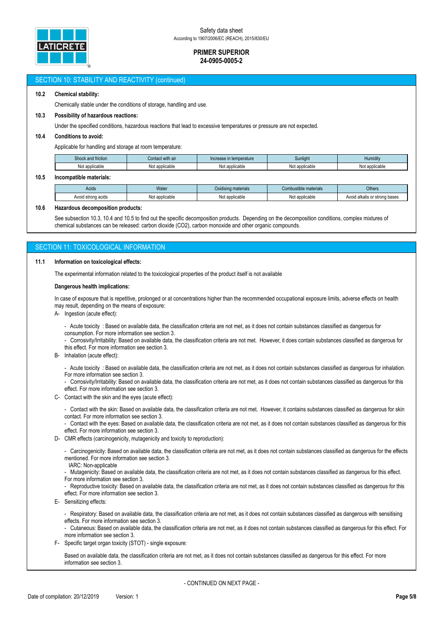

# SECTION 10: STABILITY AND REACTIVITY (continued) **10.2 Chemical stability:** Chemically stable under the conditions of storage, handling and use. **10.3 Possibility of hazardous reactions:** Under the specified conditions, hazardous reactions that lead to excessive temperatures or pressure are not expected. **10.4 Conditions to avoid:** Applicable for handling and storage at room temperature: Shock and friction Contact with air Increase in temperature Sunlight Sunlight Humidity Not applicable Not applicable Not applicable Not applicable Not applicable **10.5 Incompatible materials:** Acids **Water Combustible materials** Combustible materials Combustible materials Combustible materials Combustible materials Avoid strong acids **Not applicable** Not applicable Not applicable Not applicable Avoid alkalis or strong bases **10.6 Hazardous decomposition products:** See subsection 10.3, 10.4 and 10.5 to find out the specific decomposition products. Depending on the decomposition conditions, complex mixtures of chemical substances can be released: carbon dioxide (CO2), carbon monoxide and other organic compounds. **SECTION 11: TOXICOLOGICAL INFORMATION 11.1 Information on toxicological effects:** The experimental information related to the toxicological properties of the product itself is not available **Dangerous health implications:** In case of exposure that is repetitive, prolonged or at concentrations higher than the recommended occupational exposure limits, adverse effects on health

may result, depending on the means of exposure:

A- Ingestion (acute effect):

- Acute toxicity : Based on available data, the classification criteria are not met, as it does not contain substances classified as dangerous for consumption. For more information see section 3.

- Corrosivity/Irritability: Based on available data, the classification criteria are not met. However, it does contain substances classified as dangerous for this effect. For more information see section 3.

B- Inhalation (acute effect):

- Acute toxicity : Based on available data, the classification criteria are not met, as it does not contain substances classified as dangerous for inhalation. For more information see section 3.

- Corrosivity/Irritability: Based on available data, the classification criteria are not met, as it does not contain substances classified as dangerous for this effect. For more information see section 3.

C- Contact with the skin and the eyes (acute effect):

Contact with the skin: Based on available data, the classification criteria are not met. However, it contains substances classified as dangerous for skin contact. For more information see section 3.

Contact with the eyes: Based on available data, the classification criteria are not met, as it does not contain substances classified as dangerous for this effect. For more information see section 3.

D- CMR effects (carcinogenicity, mutagenicity and toxicity to reproduction):

- Carcinogenicity: Based on available data, the classification criteria are not met, as it does not contain substances classified as dangerous for the effects mentioned. For more information see section 3.

IARC: Non-applicable

- Mutagenicity: Based on available data, the classification criteria are not met, as it does not contain substances classified as dangerous for this effect. For more information see section 3.

- Reproductive toxicity: Based on available data, the classification criteria are not met, as it does not contain substances classified as dangerous for this effect. For more information see section 3.

E- Sensitizing effects:

- Respiratory: Based on available data, the classification criteria are not met, as it does not contain substances classified as dangerous with sensitising effects. For more information see section 3.

- Cutaneous: Based on available data, the classification criteria are not met, as it does not contain substances classified as dangerous for this effect. For more information see section 3.

F- Specific target organ toxicity (STOT) - single exposure:

Based on available data, the classification criteria are not met, as it does not contain substances classified as dangerous for this effect. For more information see section 3.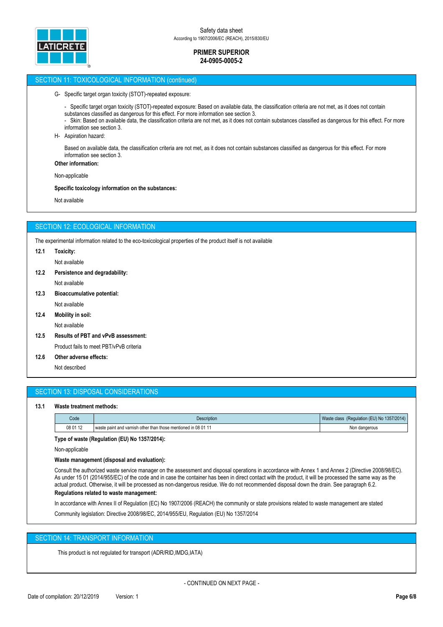

## SECTION 11: TOXICOLOGICAL INFORMATION (continued)

G- Specific target organ toxicity (STOT)-repeated exposure:

- Specific target organ toxicity (STOT)-repeated exposure: Based on available data, the classification criteria are not met, as it does not contain substances classified as dangerous for this effect. For more information see section 3.
- Skin: Based on available data, the classification criteria are not met, as it does not contain substances classified as dangerous for this effect. For more information see section 3.
- H- Aspiration hazard:

Based on available data, the classification criteria are not met, as it does not contain substances classified as dangerous for this effect. For more information see section 3.

**Other information:**

Non-applicable

#### **Specific toxicology information on the substances:**

Not available

# SECTION 12: ECOLOGICAL INFORMATION

The experimental information related to the eco-toxicological properties of the product itself is not available

#### **12.1 Toxicity:**

Not available

**12.2 Persistence and degradability:**

Not available

**12.3 Bioaccumulative potential:**

Not available

**12.4 Mobility in soil:**

Not available

- **12.5 Results of PBT and vPvB assessment:** Product fails to meet PBT/vPvB criteria
- **12.6 Other adverse effects:**

Not described

# SECTION 13: DISPOSAL CONSIDERATIONS

#### **13.1 Waste treatment methods:**

| Code     | <b>Description</b>                                            | (Regulation (EU) No 1357/2014)<br>Waste class |
|----------|---------------------------------------------------------------|-----------------------------------------------|
| 08 01 12 | I waste paint and varnish other than those mentioned in 08 01 | Non dangerous                                 |

**Type of waste (Regulation (EU) No 1357/2014):**

Non-applicable

#### **Waste management (disposal and evaluation):**

Consult the authorized waste service manager on the assessment and disposal operations in accordance with Annex 1 and Annex 2 (Directive 2008/98/EC). As under 15 01 (2014/955/EC) of the code and in case the container has been in direct contact with the product, it will be processed the same way as the actual product. Otherwise, it will be processed as non-dangerous residue. We do not recommended disposal down the drain. See paragraph 6.2.

# **Regulations related to waste management:**

In accordance with Annex II of Regulation (EC) No 1907/2006 (REACH) the community or state provisions related to waste management are stated

Community legislation: Directive 2008/98/EC, 2014/955/EU, Regulation (EU) No 1357/2014

# SECTION 14: TRANSPORT INFORMATION

This product is not regulated for transport (ADR/RID,IMDG,IATA)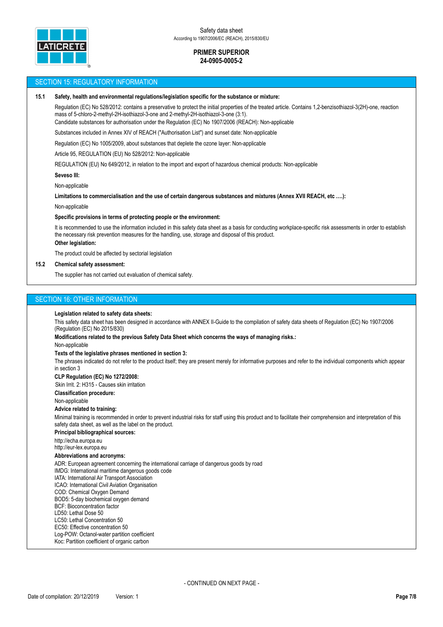

#### SECTION 15: REGULATORY INFORMATION

#### **15.1 Safety, health and environmental regulations/legislation specific for the substance or mixture:**

Regulation (EC) No 528/2012: contains a preservative to protect the initial properties of the treated article. Contains 1,2-benzisothiazol-3(2H)-one, reaction mass of 5-chloro-2-methyl-2H-isothiazol-3-one and 2-methyl-2H-isothiazol-3-one (3:1).

Candidate substances for authorisation under the Regulation (EC) No 1907/2006 (REACH): Non-applicable

Substances included in Annex XIV of REACH ("Authorisation List") and sunset date: Non-applicable

Regulation (EC) No 1005/2009, about substances that deplete the ozone layer: Non-applicable

Article 95, REGULATION (EU) No 528/2012: Non-applicable

REGULATION (EU) No 649/2012, in relation to the import and export of hazardous chemical products: Non-applicable

#### **Seveso III:**

Non-applicable

**Limitations to commercialisation and the use of certain dangerous substances and mixtures (Annex XVII REACH, etc ….):**

Non-applicable

#### **Specific provisions in terms of protecting people or the environment:**

It is recommended to use the information included in this safety data sheet as a basis for conducting workplace-specific risk assessments in order to establish the necessary risk prevention measures for the handling, use, storage and disposal of this product.

**Other legislation:**

The product could be affected by sectorial legislation

# **15.2 Chemical safety assessment:**

The supplier has not carried out evaluation of chemical safety.

# SECTION 16: OTHER INFORMATION

#### **Legislation related to safety data sheets:**

This safety data sheet has been designed in accordance with ANNEX II-Guide to the compilation of safety data sheets of Regulation (EC) No 1907/2006 (Regulation (EC) No 2015/830)

**Modifications related to the previous Safety Data Sheet which concerns the ways of managing risks.:**

Non-applicable

#### **Texts of the legislative phrases mentioned in section 3:**

The phrases indicated do not refer to the product itself; they are present merely for informative purposes and refer to the individual components which appear in section 3

#### **CLP Regulation (EC) No 1272/2008:**

Skin Irrit. 2: H315 - Causes skin irritation

**Classification procedure:**

Non-applicable

#### **Advice related to training:**

Minimal training is recommended in order to prevent industrial risks for staff using this product and to facilitate their comprehension and interpretation of this safety data sheet, as well as the label on the product.

**Principal bibliographical sources:**

http://echa.europa.eu

http://eur-lex.europa.eu

# **Abbreviations and acronyms:**

ADR: European agreement concerning the international carriage of dangerous goods by road

IMDG: International maritime dangerous goods code

IATA: International Air Transport Association

ICAO: International Civil Aviation Organisation COD: Chemical Oxygen Demand

- BOD5: 5-day biochemical oxygen demand
- BCF: Bioconcentration factor

LD50: Lethal Dose 50

- LC50: Lethal Concentration 50
- EC50: Effective concentration 50
- Log-POW: Octanol-water partition coefficient
- Koc: Partition coefficient of organic carbon